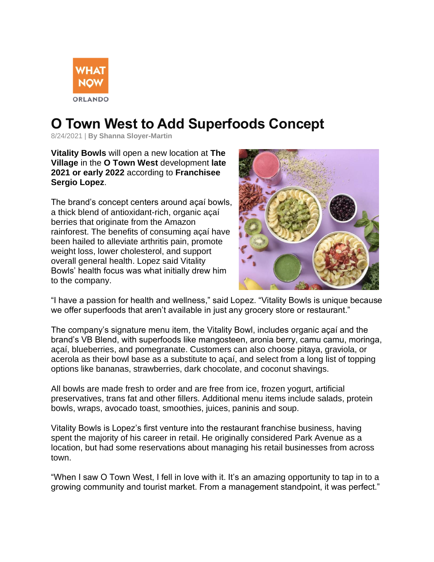

## **O Town West to Add Superfoods Concept**

8/24/2021 | **By Shanna Sloyer-Martin**

**Vitality Bowls** will open a new location at **The Village** in the **O Town West** development **late 2021 or early 2022** according to **Franchisee Sergio Lopez**.

The brand's concept centers around açaí bowls, a thick blend of antioxidant-rich, organic açaí berries that originate from the Amazon rainforest. The benefits of consuming açaí have been hailed to alleviate arthritis pain, promote weight loss, lower cholesterol, and support overall general health. Lopez said Vitality Bowls' health focus was what initially drew him to the company.



"I have a passion for health and wellness," said Lopez. "Vitality Bowls is unique because we offer superfoods that aren't available in just any grocery store or restaurant."

The company's signature menu item, the Vitality Bowl, includes organic açaí and the brand's VB Blend, with superfoods like mangosteen, aronia berry, camu camu, moringa, açaí, blueberries, and pomegranate. Customers can also choose pitaya, graviola, or acerola as their bowl base as a substitute to açaí, and select from a long list of topping options like bananas, strawberries, dark chocolate, and coconut shavings.

All bowls are made fresh to order and are free from ice, frozen yogurt, artificial preservatives, trans fat and other fillers. Additional menu items include salads, protein bowls, wraps, avocado toast, smoothies, juices, paninis and soup.

Vitality Bowls is Lopez's first venture into the restaurant franchise business, having spent the majority of his career in retail. He originally considered Park Avenue as a location, but had some reservations about managing his retail businesses from across town.

"When I saw O Town West, I fell in love with it. It's an amazing opportunity to tap in to a growing community and tourist market. From a management standpoint, it was perfect."